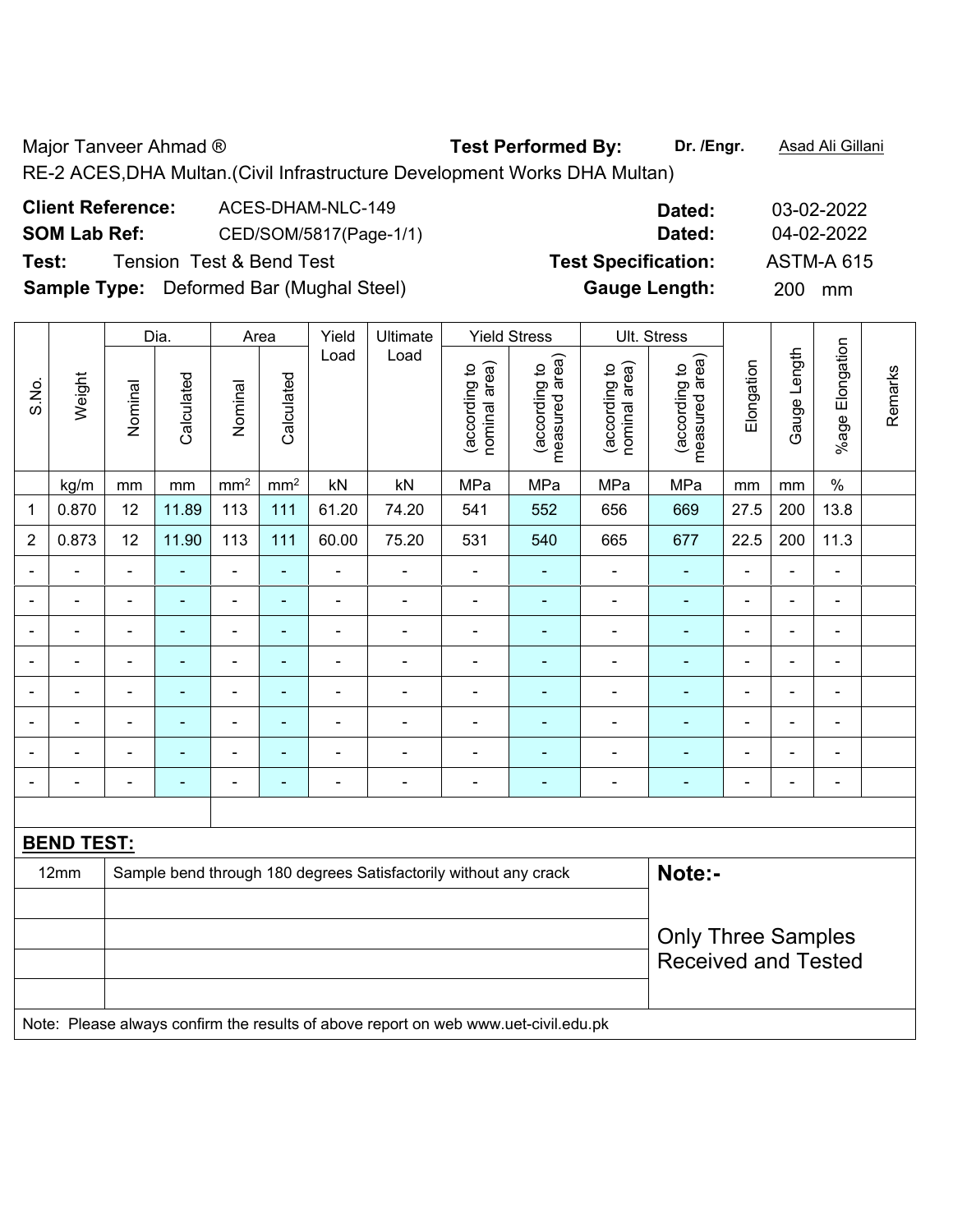Major Tanveer Ahmad ® **Test Performed By:** Dr. /Engr. **Asad Ali Gillani** 

RE-2 ACES,DHA Multan.(Civil Infrastructure Development Works DHA Multan)

| <b>Client Reference:</b> | ACES-DHAM-NLC-149                               | Dated:                     | 03-02-2022        |
|--------------------------|-------------------------------------------------|----------------------------|-------------------|
| <b>SOM Lab Ref:</b>      | CED/SOM/5817(Page-1/1)                          | Dated:                     | 04-02-2022        |
| Test:                    | <b>Tension Test &amp; Bend Test</b>             | <b>Test Specification:</b> | <b>ASTM-A 615</b> |
|                          | <b>Sample Type:</b> Deformed Bar (Mughal Steel) | <b>Gauge Length:</b>       | <b>200</b><br>mm  |

|                          |                   |                          | Dia.           |                          | Area                     | Yield                    | <b>Ultimate</b>                                                  |                                | <b>Yield Stress</b>             | Ult. Stress                    |                                                         |                |                          |                          |         |
|--------------------------|-------------------|--------------------------|----------------|--------------------------|--------------------------|--------------------------|------------------------------------------------------------------|--------------------------------|---------------------------------|--------------------------------|---------------------------------------------------------|----------------|--------------------------|--------------------------|---------|
| S.No.                    | Weight            | Nominal                  | Calculated     | Nominal                  | Calculated               | Load                     | Load                                                             | nominal area)<br>(according to | measured area)<br>(according to | (according to<br>nominal area) | area)<br>(according to<br>measured                      | Elongation     | Gauge Length             | %age Elongation          | Remarks |
|                          | kg/m              | mm                       | mm             | mm <sup>2</sup>          | mm <sup>2</sup>          | kN                       | kN                                                               | MPa                            | MPa                             | MPa                            | MPa                                                     | mm             | mm                       | $\%$                     |         |
| 1                        | 0.870             | 12                       | 11.89          | 113                      | 111                      | 61.20                    | 74.20                                                            | 541                            | 552                             | 656                            | 669                                                     | 27.5           | 200                      | 13.8                     |         |
| $\overline{2}$           | 0.873             | 12                       | 11.90          | 113                      | 111                      | 60.00                    | 75.20                                                            | 531                            | 540                             | 665                            | 677                                                     | 22.5           | 200                      | 11.3                     |         |
| -                        | -                 | $\blacksquare$           |                | $\overline{\phantom{0}}$ | ۰                        | $\overline{\phantom{0}}$ | -                                                                |                                | -                               |                                |                                                         | $\blacksquare$ | $\overline{\phantom{a}}$ | $\blacksquare$           |         |
|                          | -                 | $\blacksquare$           | $\blacksquare$ | ÷,                       | $\overline{\phantom{0}}$ | ۰                        | $\overline{a}$                                                   | $\blacksquare$                 | $\overline{\phantom{0}}$        | $\blacksquare$                 | $\blacksquare$                                          |                | $\blacksquare$           | $\blacksquare$           |         |
|                          | -                 | $\blacksquare$           | ٠              | $\blacksquare$           | ۰                        | $\blacksquare$           | $\overline{\phantom{0}}$                                         |                                | ۰                               |                                | $\blacksquare$                                          | -              | $\blacksquare$           | $\blacksquare$           |         |
| ۰                        | ÷,                | $\blacksquare$           | $\blacksquare$ | $\overline{\phantom{0}}$ | $\blacksquare$           | $\blacksquare$           | $\blacksquare$                                                   | $\blacksquare$                 | ۰                               | ۰                              | $\blacksquare$                                          | ä,             | $\blacksquare$           | $\blacksquare$           |         |
|                          | ۳                 | $\overline{\phantom{0}}$ | ۰              | ۰                        | ۰                        | ۰                        | $\blacksquare$                                                   |                                |                                 |                                |                                                         | -              | $\blacksquare$           | $\blacksquare$           |         |
|                          | ۳                 | $\blacksquare$           | Ē.             | ÷                        | ۰                        | ۰                        | $\blacksquare$                                                   |                                | ۰                               | $\blacksquare$                 | $\blacksquare$                                          | $\blacksquare$ | $\blacksquare$           | $\blacksquare$           |         |
|                          |                   |                          |                | ÷                        | ۰                        |                          |                                                                  |                                |                                 |                                |                                                         |                |                          | $\blacksquare$           |         |
| $\overline{\phantom{a}}$ | -                 | $\blacksquare$           |                | $\overline{a}$           | $\overline{\phantom{0}}$ | ۰                        | $\qquad \qquad \blacksquare$                                     |                                | -                               |                                | $\overline{\phantom{0}}$                                | $\blacksquare$ | $\blacksquare$           | $\overline{\phantom{0}}$ |         |
|                          |                   |                          |                |                          |                          |                          |                                                                  |                                |                                 |                                |                                                         |                |                          |                          |         |
|                          | <b>BEND TEST:</b> |                          |                |                          |                          |                          |                                                                  |                                |                                 |                                |                                                         |                |                          |                          |         |
|                          | 12mm              |                          |                |                          |                          |                          | Sample bend through 180 degrees Satisfactorily without any crack |                                |                                 |                                | Note:-                                                  |                |                          |                          |         |
|                          |                   |                          |                |                          |                          |                          |                                                                  |                                |                                 |                                |                                                         |                |                          |                          |         |
|                          |                   |                          |                |                          |                          |                          |                                                                  |                                |                                 |                                | <b>Only Three Samples</b><br><b>Received and Tested</b> |                |                          |                          |         |

Note: Please always confirm the results of above report on web www.uet-civil.edu.pk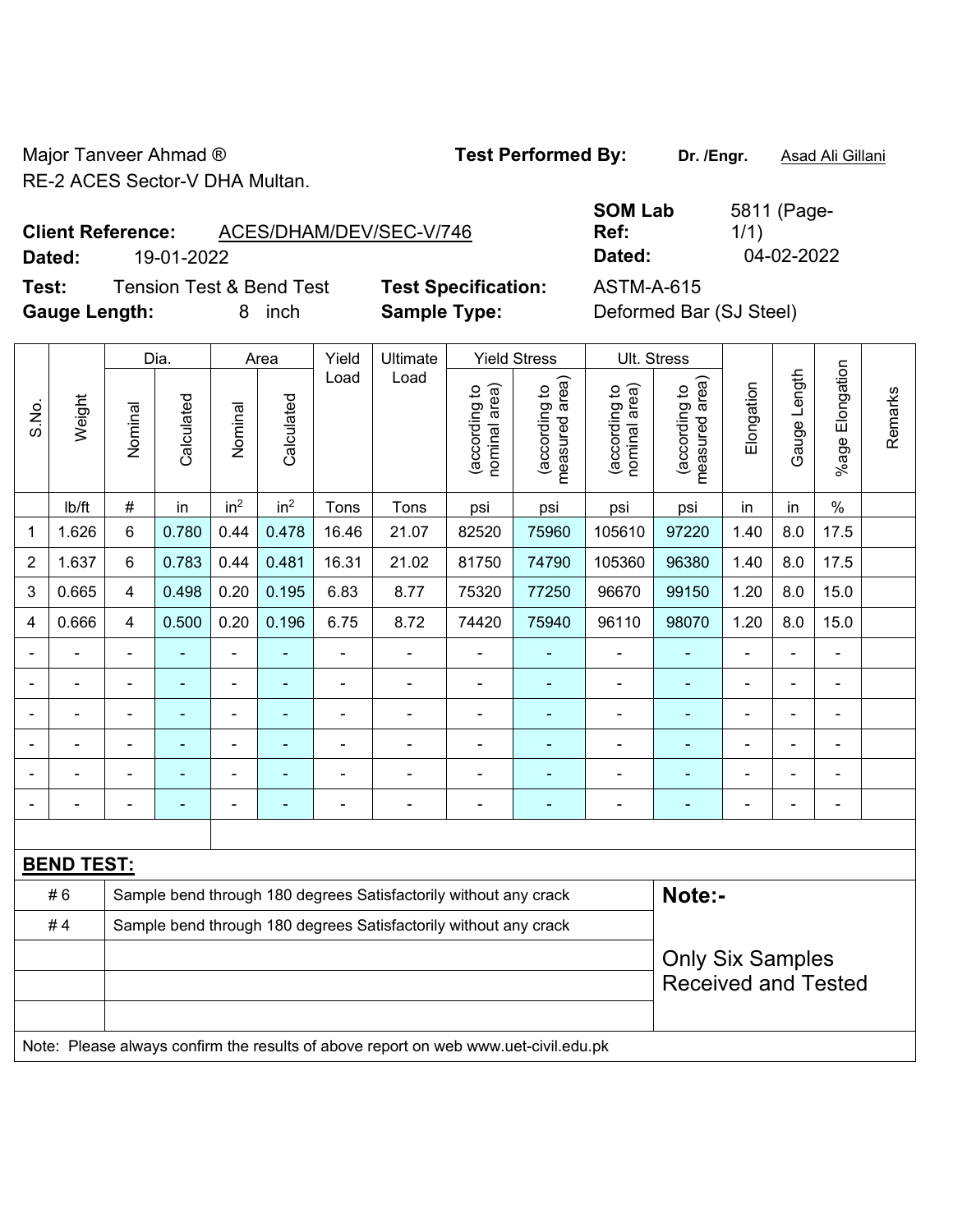Major Tanveer Ahmad ® **Test Performed By:** Dr. /Engr. **Asad Ali Gillani** RE-2 ACES Sector-V DHA Multan.

**Test:** Tension Test & Bend Test **Test Specification:** ASTM-A-615 **Gauge Length:** 8 inch **Sample Type:** Deformed Bar (SJ Steel)

|                          |            |                         | <b>SOM Lab</b> | 5811 (Page- |
|--------------------------|------------|-------------------------|----------------|-------------|
| <b>Client Reference:</b> |            | ACES/DHAM/DEV/SEC-V/746 | Ref:           | 1/1)        |
| Dated:                   | 19-01-2022 |                         | Dated:         | 04-02-2022  |

|                |                   |                         | Dia.                                                                                |                 | Area                     | Yield                                                            | Ultimate                                                         |                                | <b>Yield Stress</b>             |                                | Ult. Stress                     |                |                          |                 |         |
|----------------|-------------------|-------------------------|-------------------------------------------------------------------------------------|-----------------|--------------------------|------------------------------------------------------------------|------------------------------------------------------------------|--------------------------------|---------------------------------|--------------------------------|---------------------------------|----------------|--------------------------|-----------------|---------|
| S.No.          | Weight            | Nominal                 | Calculated                                                                          | Nominal         | Calculated               | Load                                                             | Load                                                             | nominal area)<br>(according to | (according to<br>measured area) | (according to<br>nominal area) | measured area)<br>(according to | Elongation     | Gauge Length             | %age Elongation | Remarks |
|                | Ib/ft             | #                       | in                                                                                  | in <sup>2</sup> | in <sup>2</sup>          | Tons                                                             | Tons                                                             | psi                            | psi                             | psi                            | psi                             | in             | in                       | $\frac{0}{0}$   |         |
| 1              | 1.626             | $\,6\,$                 | 0.780                                                                               | 0.44            | 0.478                    | 16.46                                                            | 21.07                                                            | 82520                          | 75960                           | 105610                         | 97220                           | 1.40           | 8.0                      | 17.5            |         |
| $\overline{2}$ | 1.637             | $6\phantom{1}$          | 0.783                                                                               | 0.44            | 0.481                    | 16.31                                                            | 21.02                                                            | 81750                          | 74790                           | 105360                         | 96380                           | 1.40           | 8.0                      | 17.5            |         |
| $\mathbf{3}$   | 0.665             | $\overline{\mathbf{4}}$ | 0.498                                                                               | 0.20            | 0.195                    | 6.83                                                             | 8.77                                                             | 75320                          | 77250                           | 96670                          | 99150                           | 1.20           | 8.0                      | 15.0            |         |
| $\overline{4}$ | 0.666             | 4                       | 0.500                                                                               | 0.20            | 0.196                    | 6.75                                                             | 8.72                                                             | 74420                          | 75940                           | 96110                          | 98070                           | 1.20           | 8.0                      | 15.0            |         |
|                |                   |                         |                                                                                     | ä,              |                          | ä,                                                               |                                                                  | $\blacksquare$                 |                                 | ä,                             |                                 |                | $\blacksquare$           | $\blacksquare$  |         |
|                | $\blacksquare$    |                         |                                                                                     | ÷,              |                          | ÷                                                                | ÷,                                                               | $\overline{\phantom{a}}$       | $\blacksquare$                  | $\blacksquare$                 | ÷                               |                |                          | ÷,              |         |
| -              | $\blacksquare$    | $\blacksquare$          | $\blacksquare$                                                                      | ۰               | ٠                        | $\blacksquare$                                                   | $\blacksquare$                                                   | $\overline{a}$                 | $\blacksquare$                  | $\blacksquare$                 | $\blacksquare$                  | $\blacksquare$ | $\blacksquare$           | ÷,              |         |
| -              | ۰                 |                         | ۰                                                                                   | ÷,              | $\blacksquare$           | Ě.                                                               | $\blacksquare$                                                   | $\blacksquare$                 | ÷                               | $\overline{\phantom{a}}$       | $\blacksquare$                  |                |                          | ÷,              |         |
|                | $\blacksquare$    |                         | Ē,                                                                                  | ÷,              |                          |                                                                  | ÷                                                                | Ē,                             | Ē.                              | $\blacksquare$                 | ÷                               |                | $\blacksquare$           | $\blacksquare$  |         |
|                | ۰                 | $\blacksquare$          | $\blacksquare$                                                                      | ÷               | $\overline{\phantom{a}}$ | ÷                                                                | $\blacksquare$                                                   | $\overline{a}$                 | $\blacksquare$                  | $\overline{a}$                 | $\blacksquare$                  | $\blacksquare$ | $\overline{\phantom{0}}$ | $\blacksquare$  |         |
|                |                   |                         |                                                                                     |                 |                          |                                                                  |                                                                  |                                |                                 |                                |                                 |                |                          |                 |         |
|                | <b>BEND TEST:</b> |                         |                                                                                     |                 |                          |                                                                  |                                                                  |                                |                                 |                                |                                 |                |                          |                 |         |
|                | #6                |                         |                                                                                     |                 |                          |                                                                  | Sample bend through 180 degrees Satisfactorily without any crack |                                |                                 |                                | Note:-                          |                |                          |                 |         |
|                | #4                |                         |                                                                                     |                 |                          | Sample bend through 180 degrees Satisfactorily without any crack |                                                                  |                                |                                 |                                |                                 |                |                          |                 |         |
|                |                   | <b>Only Six Samples</b> |                                                                                     |                 |                          |                                                                  |                                                                  |                                |                                 |                                |                                 |                |                          |                 |         |
|                |                   |                         |                                                                                     |                 |                          |                                                                  |                                                                  |                                |                                 |                                | <b>Received and Tested</b>      |                |                          |                 |         |
|                |                   |                         |                                                                                     |                 |                          |                                                                  |                                                                  |                                |                                 |                                |                                 |                |                          |                 |         |
|                |                   |                         | Note: Please always confirm the results of above report on web www.uet-civil.edu.pk |                 |                          |                                                                  |                                                                  |                                |                                 |                                |                                 |                |                          |                 |         |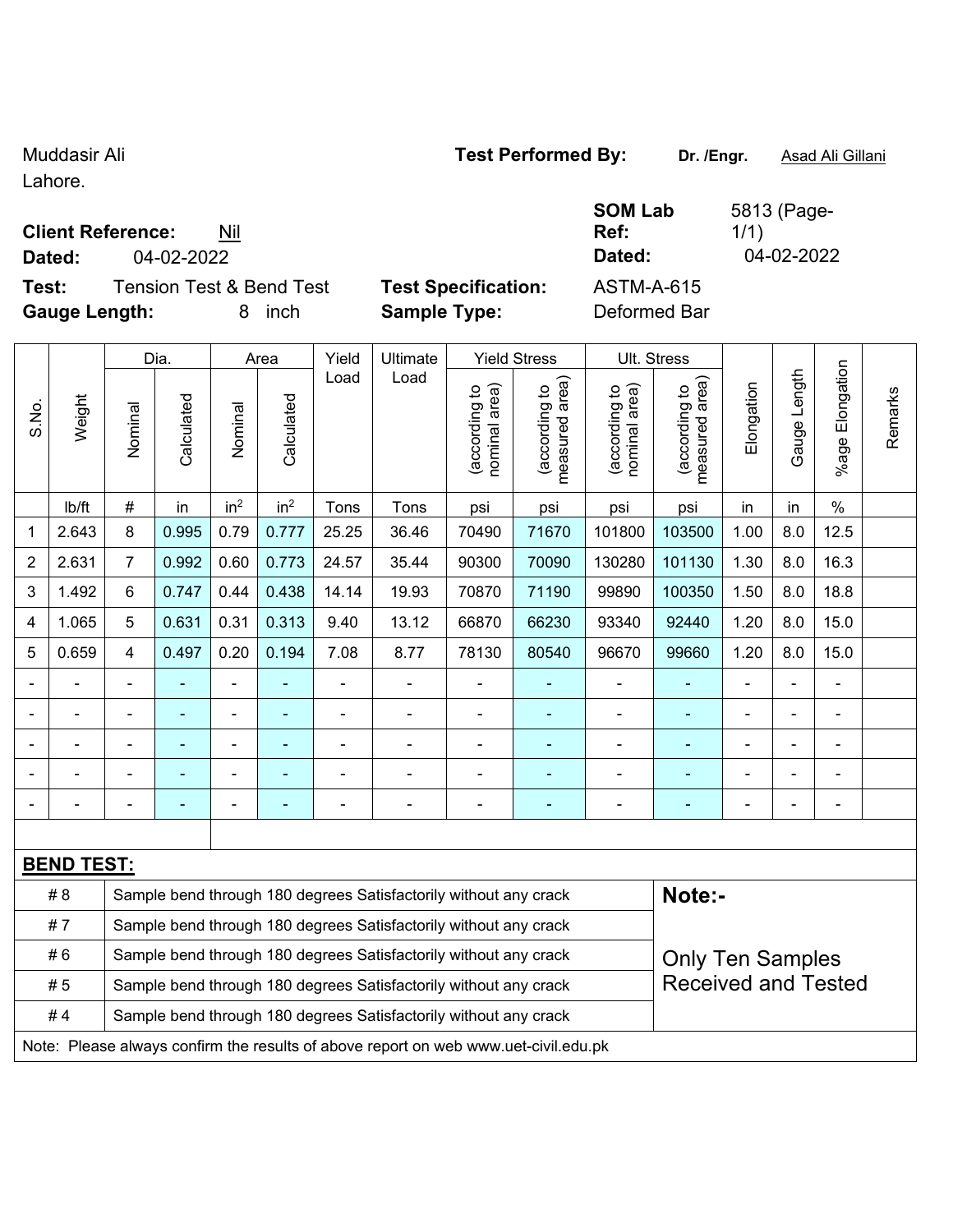Lahore.

## **Client Reference:** Nil

**Dated:** 04-02-2022 **Dated:** 04-02-2022

**Test:** Tension Test & Bend Test **Test Specification:** ASTM-A-615 **Gauge Length:** 8 inch **Sample Type:** Deformed Bar

Dia. | Area | Yield | Ultimate | Yield Stress | Ult. Stress

**SOM Lab Ref:** 

5813 (Page-1/1)

|                          |                   |                | Dia.                                                                                        |                 | Area                                                                                           | Yield | Ultimate                                                         |                                | Yield Stress                    |                                | UII. Stress                        |            |                          |                       |         |  |  |
|--------------------------|-------------------|----------------|---------------------------------------------------------------------------------------------|-----------------|------------------------------------------------------------------------------------------------|-------|------------------------------------------------------------------|--------------------------------|---------------------------------|--------------------------------|------------------------------------|------------|--------------------------|-----------------------|---------|--|--|
| S.No.                    | Weight            | Nominal        | Calculated                                                                                  | Nominal         | Calculated                                                                                     | Load  | Load                                                             | nominal area)<br>(according to | measured area)<br>(according to | nominal area)<br>(according to | area)<br>(according to<br>measured | Elongation | Length<br>Gauge I        | Elongation<br>$%$ age | Remarks |  |  |
|                          | lb/ft             | $\#$           | in                                                                                          | in <sup>2</sup> | in <sup>2</sup>                                                                                | Tons  | Tons                                                             | psi                            | psi                             | psi                            | psi                                | in         | in                       | $\%$                  |         |  |  |
| 1                        | 2.643             | 8              | 0.995                                                                                       | 0.79            | 0.777                                                                                          | 25.25 | 36.46                                                            | 70490                          | 71670                           | 101800                         | 103500                             | 1.00       | 8.0                      | 12.5                  |         |  |  |
| $\boldsymbol{2}$         | 2.631             | $\overline{7}$ | 0.992                                                                                       | 0.60            | 0.773                                                                                          | 24.57 | 35.44                                                            | 90300                          | 70090                           | 130280                         | 101130                             | 1.30       | 8.0                      | 16.3                  |         |  |  |
| 3                        | 1.492             | $6\phantom{a}$ | 0.747                                                                                       | 0.44            | 0.438                                                                                          | 14.14 | 19.93                                                            | 70870                          | 71190                           | 99890                          | 100350                             | 1.50       | 8.0                      | 18.8                  |         |  |  |
| 4                        | 1.065             | 5              | 0.631                                                                                       | 0.31            | 0.313                                                                                          | 9.40  | 13.12                                                            | 66870                          | 66230                           | 93340                          | 92440                              | 1.20       | 8.0                      | 15.0                  |         |  |  |
| 5                        | 0.659             | $\overline{4}$ | 0.497                                                                                       | 0.20            | 0.194                                                                                          | 7.08  | 8.77                                                             | 78130                          | 80540                           | 96670                          | 99660                              | 1.20       | 8.0                      | 15.0                  |         |  |  |
| $\overline{\phantom{a}}$ |                   |                |                                                                                             |                 |                                                                                                |       |                                                                  | $\blacksquare$                 |                                 |                                |                                    |            | ä,                       | $\blacksquare$        |         |  |  |
|                          |                   |                |                                                                                             |                 |                                                                                                |       |                                                                  |                                |                                 |                                |                                    |            |                          | ä,                    |         |  |  |
|                          |                   |                |                                                                                             |                 |                                                                                                |       |                                                                  | $\blacksquare$                 |                                 |                                |                                    |            | ä,                       | $\blacksquare$        |         |  |  |
|                          |                   |                |                                                                                             |                 |                                                                                                |       |                                                                  | ÷                              |                                 |                                |                                    |            |                          |                       |         |  |  |
|                          |                   |                |                                                                                             |                 |                                                                                                |       |                                                                  |                                | ۳                               |                                |                                    |            | $\overline{\phantom{0}}$ | -                     |         |  |  |
|                          |                   |                |                                                                                             |                 |                                                                                                |       |                                                                  |                                |                                 |                                |                                    |            |                          |                       |         |  |  |
|                          | <b>BEND TEST:</b> |                |                                                                                             |                 |                                                                                                |       |                                                                  |                                |                                 |                                |                                    |            |                          |                       |         |  |  |
|                          | #8                |                |                                                                                             |                 |                                                                                                |       | Sample bend through 180 degrees Satisfactorily without any crack |                                |                                 |                                | Note:-                             |            |                          |                       |         |  |  |
|                          | #7                |                |                                                                                             |                 |                                                                                                |       | Sample bend through 180 degrees Satisfactorily without any crack |                                |                                 |                                |                                    |            |                          |                       |         |  |  |
|                          | #6                |                | Sample bend through 180 degrees Satisfactorily without any crack<br><b>Only Ten Samples</b> |                 |                                                                                                |       |                                                                  |                                |                                 |                                |                                    |            |                          |                       |         |  |  |
|                          | #5                |                |                                                                                             |                 | <b>Received and Tested</b><br>Sample bend through 180 degrees Satisfactorily without any crack |       |                                                                  |                                |                                 |                                |                                    |            |                          |                       |         |  |  |
|                          | #4                |                | Sample bend through 180 degrees Satisfactorily without any crack                            |                 |                                                                                                |       |                                                                  |                                |                                 |                                |                                    |            |                          |                       |         |  |  |

Note: Please always confirm the results of above report on web www.uet-civil.edu.pk

# Muddasir Ali **Muddasir Ali Number 2018** Test Performed By: Dr. /Engr. **Asad Ali Gillani**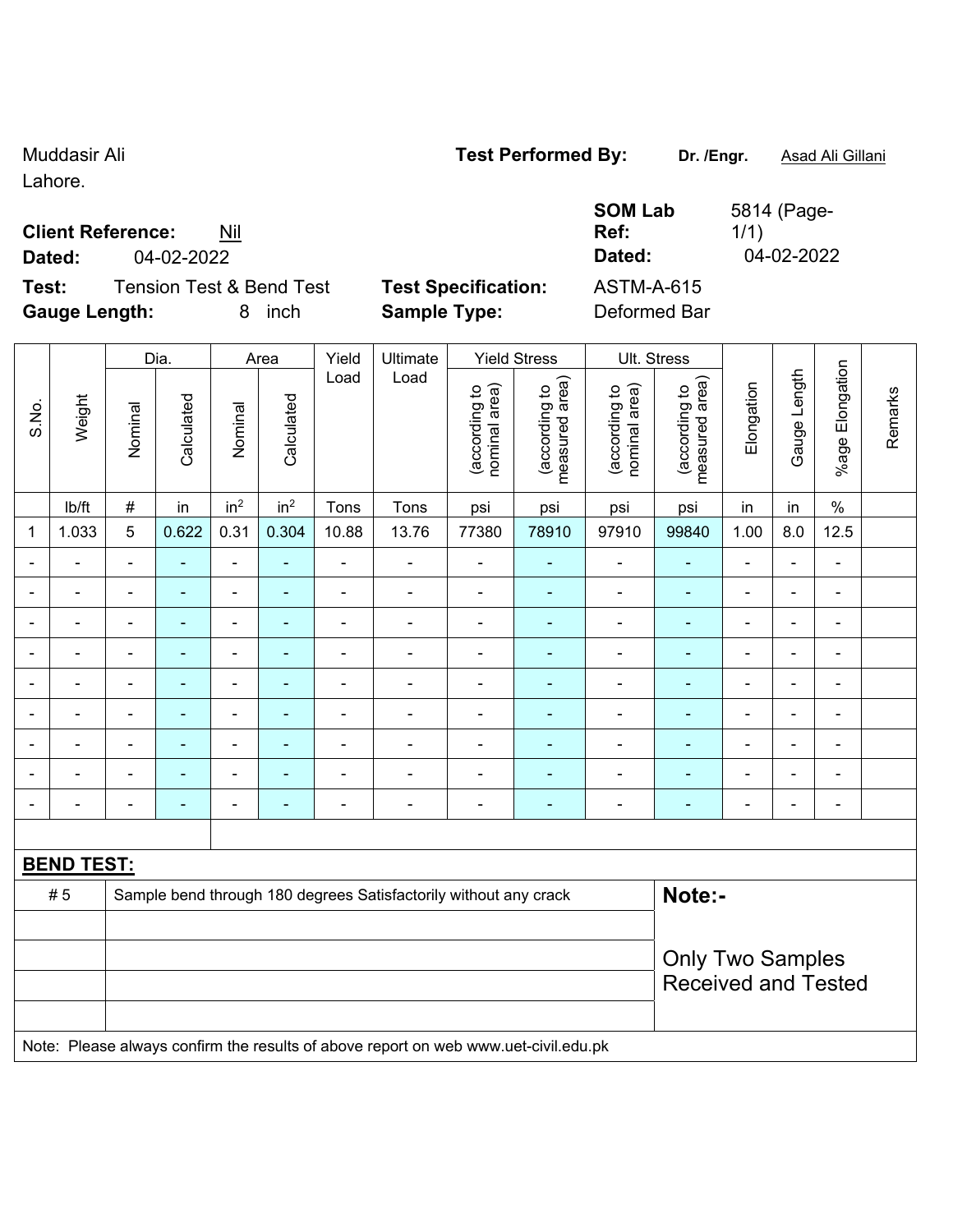Lahore.

## **Client Reference:** Nil

**Test:** Tension Test & Bend Test **Test Specification:** ASTM-A-615 **Gauge Length:** 8 inch **Sample Type:** Deformed Bar

|                          | oauge ∟engun. |                |            | ◡                        | 11 IV 11        |       | <b>Dallbig Type.</b> |                                |                                    | DUIUIIIUU DAI                  |                                    |                          |                          |                          |         |
|--------------------------|---------------|----------------|------------|--------------------------|-----------------|-------|----------------------|--------------------------------|------------------------------------|--------------------------------|------------------------------------|--------------------------|--------------------------|--------------------------|---------|
|                          |               |                | Dia.       |                          | Area            | Yield | Ultimate             |                                | <b>Yield Stress</b>                | Ult. Stress                    |                                    |                          |                          |                          |         |
| S.No.                    | Weight        | Nominal        | Calculated | Nominal                  | Calculated      | Load  | Load                 | nominal area)<br>(according to | area)<br>(according to<br>measured | nominal area)<br>(according to | area)<br>(according to<br>measured | Elongation               | Gauge Length             | Elongation<br>$%$ age    | Remarks |
|                          | lb/ft         | $\#$           | in         | in <sup>2</sup>          | in <sup>2</sup> | Tons  | Tons                 | psi                            | psi                                | psi                            | psi                                | in                       | in                       | $\%$                     |         |
| 1                        | 1.033         | 5              | 0.622      | 0.31                     | 0.304           | 10.88 | 13.76                | 77380                          | 78910                              | 97910                          | 99840                              | 1.00                     | 8.0                      | 12.5                     |         |
| $\overline{\phantom{0}}$ |               | $\blacksquare$ |            |                          |                 |       |                      |                                |                                    |                                | $\blacksquare$                     | $\blacksquare$           | ۰                        | $\overline{\phantom{0}}$ |         |
| ۳                        |               |                |            | $\overline{\phantom{0}}$ |                 |       |                      |                                |                                    |                                | ٠                                  | $\blacksquare$           | ٠                        | -                        |         |
| $\overline{a}$           |               |                |            | $\overline{\phantom{0}}$ |                 |       |                      |                                |                                    |                                | $\blacksquare$                     | $\blacksquare$           | $\blacksquare$           | $\equiv$                 |         |
| $\blacksquare$           |               |                |            | $\blacksquare$           |                 |       |                      |                                |                                    |                                |                                    | $\overline{\phantom{0}}$ | $\overline{\phantom{0}}$ | $\blacksquare$           |         |
| $\blacksquare$           |               |                |            | $\overline{\phantom{0}}$ | -               |       |                      |                                |                                    |                                | ٠                                  | $\blacksquare$           | $\blacksquare$           | $\blacksquare$           |         |
|                          |               |                |            |                          |                 |       |                      |                                |                                    |                                |                                    |                          | ٠                        |                          |         |
| $\overline{a}$           |               | $\blacksquare$ |            | $\blacksquare$           |                 |       |                      |                                |                                    |                                | $\blacksquare$                     | $\overline{\phantom{0}}$ | ۰                        | $\blacksquare$           |         |
|                          |               |                |            |                          |                 |       |                      |                                |                                    |                                |                                    | ٠                        | ٠                        |                          |         |
|                          |               |                |            |                          |                 |       |                      |                                |                                    |                                |                                    |                          |                          | $\blacksquare$           |         |

## **BEND TEST:**

| # 5 | Sample bend through 180 degrees Satisfactorily without any crack                    | <b>Note:-</b>              |
|-----|-------------------------------------------------------------------------------------|----------------------------|
|     |                                                                                     |                            |
|     |                                                                                     | <b>Only Two Samples</b>    |
|     |                                                                                     | <b>Received and Tested</b> |
|     |                                                                                     |                            |
|     | Note: Please always confirm the results of above report on web www.uet-civil.edu.pk |                            |

**SOM Lab Ref:**  5814 (Page-1/1) **Dated:** 04-02-2022 **Dated:** 04-02-2022

Muddasir Ali **Muddasir Ali** *Test Performed By:* **Dr. /Engr.** Asad Ali Gillani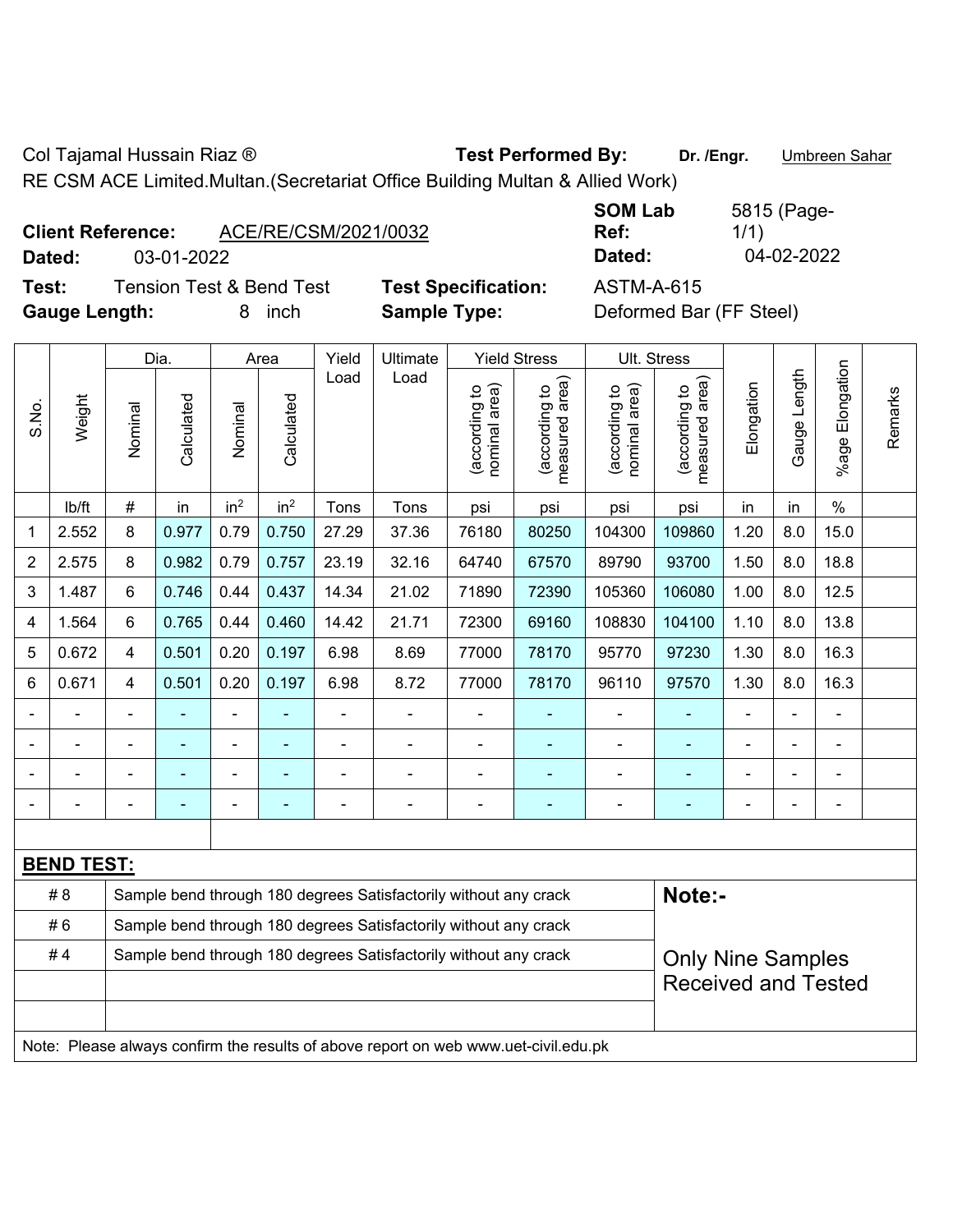Col Tajamal Hussain Riaz ® **Test Performed By:** Dr. /Engr. **Ditcheren Sahar** 

RE CSM ACE Limited.Multan.(Secretariat Office Building Multan & Allied Work)

| <b>Client Reference:</b> | ACE/RE/CSM/2021/0032 |
|--------------------------|----------------------|
|--------------------------|----------------------|

**SOM Lab Ref:**  5815 (Page-1/1) **Dated:** 03-01-2022 **Dated:** 04-02-2022

**Test:** Tension Test & Bend Test **Test Specification:** ASTM-A-615 **Gauge Length:** 8 inch **Sample Type:** Deformed Bar (FF Steel)

|                |                   |         | Dia.                                                                                         |                 | Area            | Yield | Ultimate                                                                            | <b>Yield Stress</b>            | Ult. Stress                     |                                |                                 |            |              |                       |         |
|----------------|-------------------|---------|----------------------------------------------------------------------------------------------|-----------------|-----------------|-------|-------------------------------------------------------------------------------------|--------------------------------|---------------------------------|--------------------------------|---------------------------------|------------|--------------|-----------------------|---------|
| S.No.          | Weight            | Nominal | Calculated                                                                                   | Nominal         | Calculated      | Load  | Load                                                                                | (according to<br>nominal area) | (according to<br>measured area) | (according to<br>nominal area) | (according to<br>measured area) | Elongation | Gauge Length | Elongation<br>$%$ age | Remarks |
|                | lb/ft             | $\#$    | in                                                                                           | in <sup>2</sup> | in <sup>2</sup> | Tons  | Tons                                                                                | psi                            | psi                             | psi                            | psi                             | in         | in           | $\%$                  |         |
| $\mathbf{1}$   | 2.552             | 8       | 0.977                                                                                        | 0.79            | 0.750           | 27.29 | 37.36                                                                               | 76180                          | 80250                           | 104300                         | 109860                          | 1.20       | 8.0          | 15.0                  |         |
| $\overline{2}$ | 2.575             | 8       | 0.982                                                                                        | 0.79            | 0.757           | 23.19 | 32.16                                                                               | 64740                          | 67570                           | 89790                          | 93700                           | 1.50       | 8.0          | 18.8                  |         |
| 3              | 1.487             | 6       | 0.746                                                                                        | 0.44            | 0.437           | 14.34 | 21.02                                                                               | 71890                          | 72390                           | 105360                         | 106080                          | 1.00       | 8.0          | 12.5                  |         |
| 4              | 1.564             | 6       | 0.765                                                                                        | 0.44            | 0.460           | 14.42 | 21.71                                                                               | 72300                          | 69160                           | 108830                         | 104100                          | 1.10       | 8.0          | 13.8                  |         |
| 5              | 0.672             | 4       | 0.501                                                                                        | 0.20            | 0.197           | 6.98  | 8.69                                                                                | 77000                          | 78170                           | 95770                          | 97230                           | 1.30       | 8.0          | 16.3                  |         |
| 6              | 0.671             | 4       | 0.501                                                                                        | 0.20            | 0.197           | 6.98  | 8.72                                                                                | 77000                          | 78170                           | 96110                          | 97570                           | 1.30       | 8.0          | 16.3                  |         |
|                |                   |         |                                                                                              |                 |                 |       |                                                                                     |                                |                                 | ÷,                             |                                 |            |              | ä,                    |         |
|                |                   |         |                                                                                              |                 |                 |       |                                                                                     | $\blacksquare$                 |                                 |                                |                                 |            |              | $\blacksquare$        |         |
|                |                   |         |                                                                                              | $\blacksquare$  |                 |       |                                                                                     |                                |                                 | $\blacksquare$                 |                                 |            |              | $\blacksquare$        |         |
|                |                   |         |                                                                                              | $\blacksquare$  |                 |       | $\blacksquare$                                                                      | Ē,                             |                                 | $\blacksquare$                 | ۰                               |            |              | ä,                    |         |
|                |                   |         |                                                                                              |                 |                 |       |                                                                                     |                                |                                 |                                |                                 |            |              |                       |         |
|                | <b>BEND TEST:</b> |         |                                                                                              |                 |                 |       |                                                                                     |                                |                                 |                                |                                 |            |              |                       |         |
|                | # 8               |         |                                                                                              |                 |                 |       | Sample bend through 180 degrees Satisfactorily without any crack                    |                                |                                 |                                | Note:-                          |            |              |                       |         |
|                | #6                |         |                                                                                              |                 |                 |       | Sample bend through 180 degrees Satisfactorily without any crack                    |                                |                                 |                                |                                 |            |              |                       |         |
|                | #4                |         | Sample bend through 180 degrees Satisfactorily without any crack<br><b>Only Nine Samples</b> |                 |                 |       |                                                                                     |                                |                                 |                                |                                 |            |              |                       |         |
|                |                   |         |                                                                                              |                 |                 |       |                                                                                     |                                |                                 |                                | <b>Received and Tested</b>      |            |              |                       |         |
|                |                   |         |                                                                                              |                 |                 |       |                                                                                     |                                |                                 |                                |                                 |            |              |                       |         |
|                |                   |         |                                                                                              |                 |                 |       | Note: Please always confirm the results of above report on web www.uet-civil.edu.pk |                                |                                 |                                |                                 |            |              |                       |         |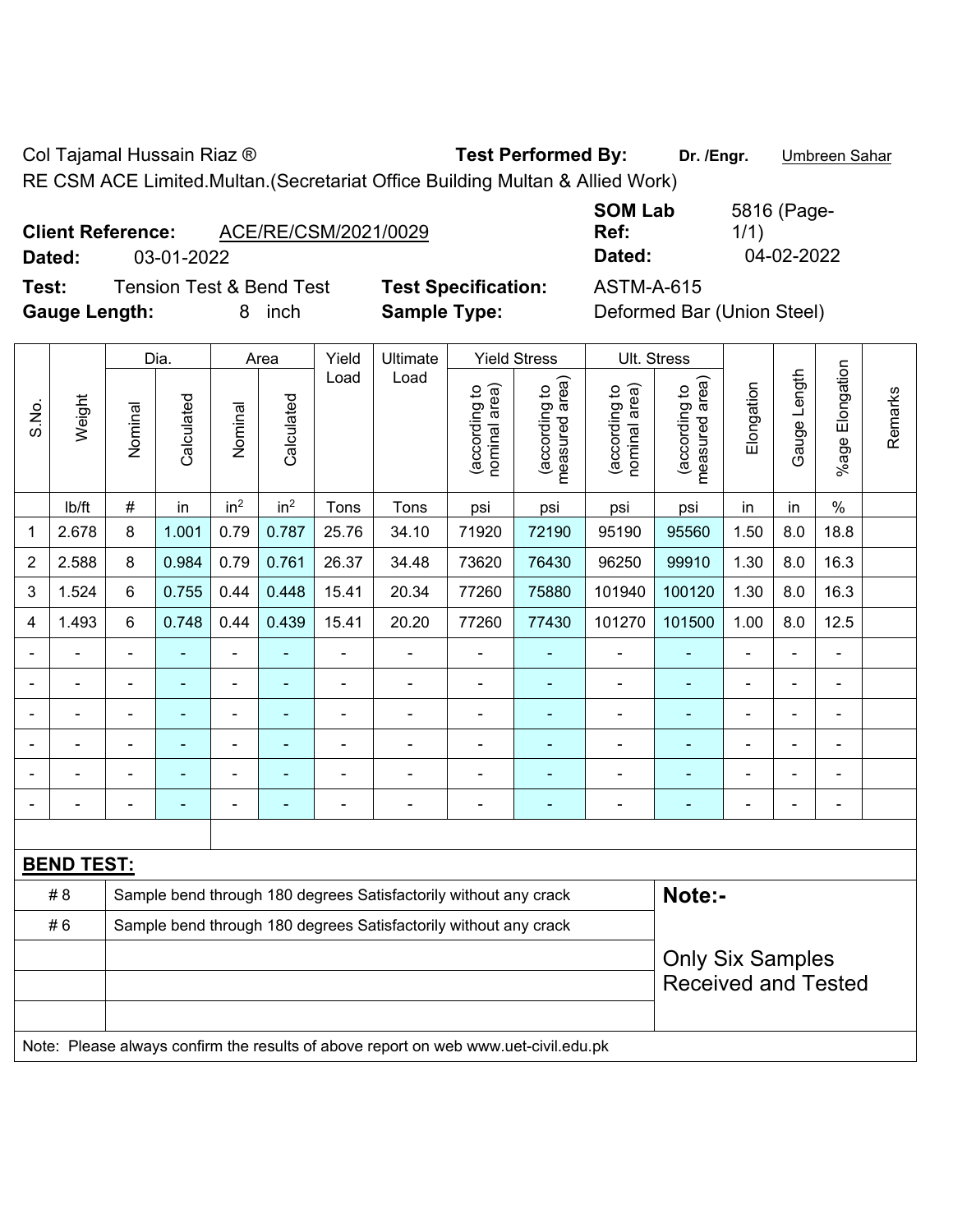Col Tajamal Hussain Riaz ® **Test Performed By:** Dr. /Engr. **Ditcheren Sahar** 

RE CSM ACE Limited.Multan.(Secretariat Office Building Multan & Allied Work)

| <b>Client Reference:</b> |            | ACE/RE/CSM/2021/0029 |
|--------------------------|------------|----------------------|
| <b>B</b> - 4 - -1 -      | 00 AL 0000 |                      |

**Test:** Tension Test & Bend Test **Test Specification:** ASTM-A-615 **Gauge Length:** 8 inch **Sample Type:** Deformed Bar (Union Steel)

**SOM Lab Ref:**  5816 (Page-1/1) **Dated:** 03-01-2022 **Dated:** 04-02-2022

|                |                   |                         | Dia.           |                 | Area            | Yield                                                            | Ultimate                                                                            |                                | <b>Yield Stress</b>                         |                                | Ult. Stress                     |                |                |                 |         |
|----------------|-------------------|-------------------------|----------------|-----------------|-----------------|------------------------------------------------------------------|-------------------------------------------------------------------------------------|--------------------------------|---------------------------------------------|--------------------------------|---------------------------------|----------------|----------------|-----------------|---------|
| S.No.          | Weight            | Nominal                 | Calculated     | Nominal         | Calculated      | Load                                                             | Load                                                                                | nominal area)<br>(according to | (according to<br>measured area)<br>measured | nominal area)<br>(according to | (according to<br>measured area) | Elongation     | Gauge Length   | %age Elongation | Remarks |
|                | lb/ft             | $\#$                    | in             | in <sup>2</sup> | in <sup>2</sup> | Tons                                                             | Tons                                                                                | psi                            | psi                                         | psi                            | psi                             | in             | in             | $\%$            |         |
| 1              | 2.678             | 8                       | 1.001          | 0.79            | 0.787           | 25.76                                                            | 34.10                                                                               | 71920                          | 72190                                       | 95190                          | 95560                           | 1.50           | 8.0            | 18.8            |         |
| $\overline{2}$ | 2.588             | 8                       | 0.984          | 0.79            | 0.761           | 26.37                                                            | 34.48                                                                               | 73620                          | 76430                                       | 96250                          | 99910                           | 1.30           | 8.0            | 16.3            |         |
| 3              | 1.524             | 6                       | 0.755          | 0.44            | 0.448           | 15.41                                                            | 20.34                                                                               | 77260                          | 75880                                       | 101940                         | 100120                          | 1.30           | 8.0            | 16.3            |         |
| 4              | 1.493             | 6                       | 0.748          | 0.44            | 0.439           | 15.41                                                            | 20.20                                                                               | 77260                          | 77430                                       | 101270                         | 101500                          | 1.00           | 8.0            | 12.5            |         |
|                | ÷                 | $\blacksquare$          | ÷,             | $\frac{1}{2}$   | ÷               | $\overline{a}$                                                   | ÷,                                                                                  | $\overline{\phantom{a}}$       | ٠                                           | $\blacksquare$                 | Ξ                               | $\blacksquare$ | ÷              | ä,              |         |
|                |                   |                         | ۰              | $\blacksquare$  |                 | L,                                                               | ÷.                                                                                  | $\blacksquare$                 | ٠                                           | $\blacksquare$                 | ä,                              |                |                | $\blacksquare$  |         |
|                |                   |                         | ÷              | ÷               |                 | L                                                                | ÷.                                                                                  | $\blacksquare$                 | ۰                                           | $\blacksquare$                 | ä,                              |                |                | $\blacksquare$  |         |
|                | $\blacksquare$    | $\blacksquare$          | ۰              | $\blacksquare$  | ٠               | ä,                                                               | $\blacksquare$                                                                      | $\blacksquare$                 | $\overline{\phantom{0}}$                    | $\blacksquare$                 | ۰                               |                | $\blacksquare$ | $\blacksquare$  |         |
|                | $\blacksquare$    |                         | ۰              | $\blacksquare$  |                 | Ē,                                                               | ÷                                                                                   | ä,                             | ä,                                          | $\blacksquare$                 | ä,                              |                |                | $\blacksquare$  |         |
| $\blacksquare$ | $\blacksquare$    | $\blacksquare$          | $\blacksquare$ | $\blacksquare$  | ä,              | L,                                                               | ä,                                                                                  | $\blacksquare$                 | ÷                                           |                                | ۰                               | $\blacksquare$ | $\blacksquare$ | $\blacksquare$  |         |
|                |                   |                         |                |                 |                 |                                                                  |                                                                                     |                                |                                             |                                |                                 |                |                |                 |         |
|                | <b>BEND TEST:</b> |                         |                |                 |                 |                                                                  |                                                                                     |                                |                                             |                                |                                 |                |                |                 |         |
|                | # 8               |                         |                |                 |                 |                                                                  | Sample bend through 180 degrees Satisfactorily without any crack                    |                                |                                             |                                | Note:-                          |                |                |                 |         |
|                | #6                |                         |                |                 |                 | Sample bend through 180 degrees Satisfactorily without any crack |                                                                                     |                                |                                             |                                |                                 |                |                |                 |         |
|                |                   | <b>Only Six Samples</b> |                |                 |                 |                                                                  |                                                                                     |                                |                                             |                                |                                 |                |                |                 |         |
|                |                   |                         |                |                 |                 |                                                                  |                                                                                     |                                |                                             |                                | <b>Received and Tested</b>      |                |                |                 |         |
|                |                   |                         |                |                 |                 |                                                                  | Note: Please always confirm the results of above report on web www.uet-civil.edu.pk |                                |                                             |                                |                                 |                |                |                 |         |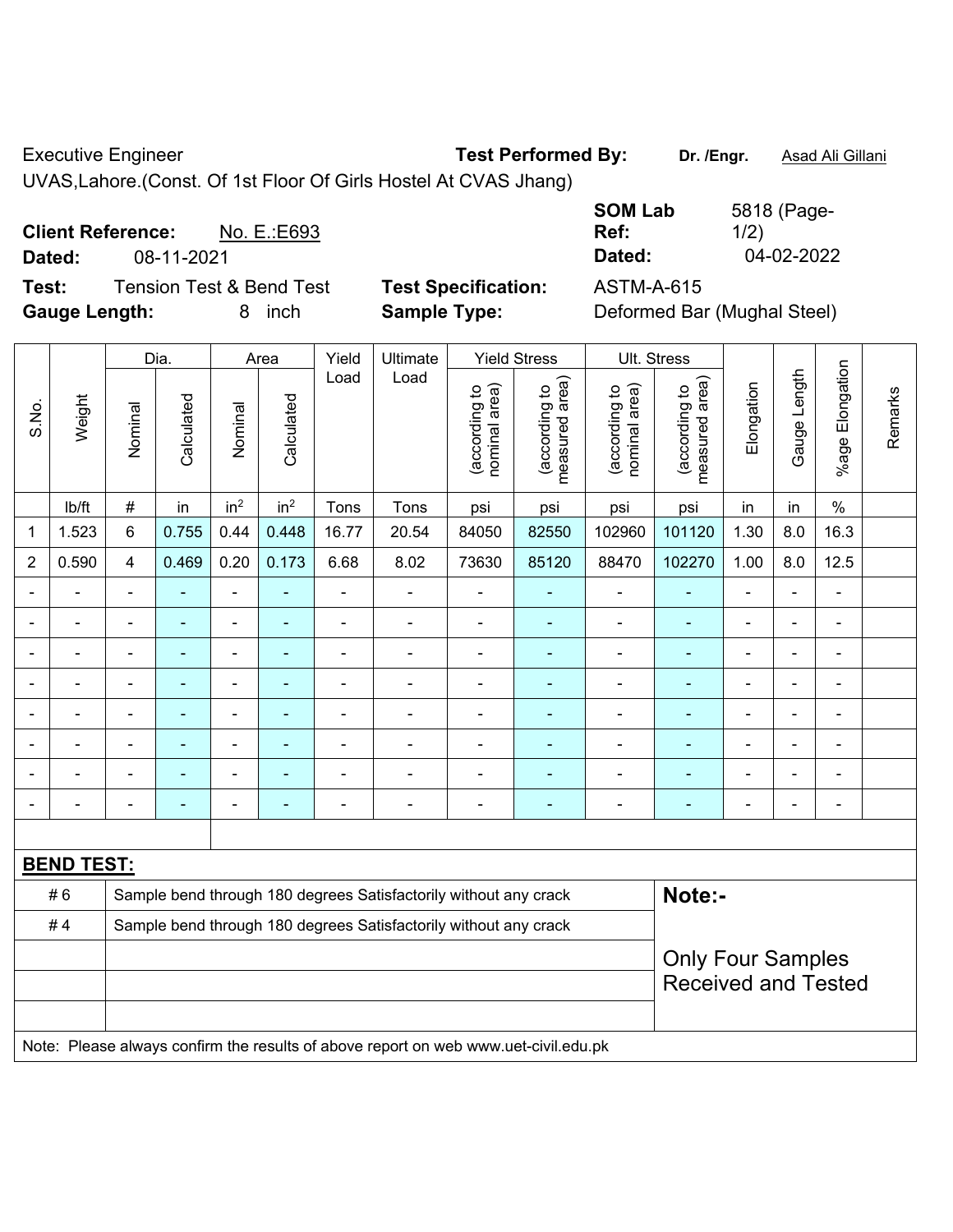Executive Engineer **Test Performed By:** Dr. /Engr. **Asad Ali Gillani** 

UVAS,Lahore.(Const. Of 1st Floor Of Girls Hostel At CVAS Jhang)

**Client Reference:** No. E.:E693 **Dated:** 08-11-2021 **Dated:** 04-02-2022 **Test:** Tension Test & Bend Test **Test Specification:** ASTM-A-615

**Gauge Length:** 8 inch **Sample Type:** Deformed Bar (Mughal Steel)

**SOM Lab Ref:**  5818 (Page-1/2)

|                |                   |                | Dia.<br>Yield<br>Ultimate<br><b>Yield Stress</b><br>Ult. Stress<br>Area |                 |                 |                |                                                                                     |                                |                                 |                                |                                    |                |                |                 |         |
|----------------|-------------------|----------------|-------------------------------------------------------------------------|-----------------|-----------------|----------------|-------------------------------------------------------------------------------------|--------------------------------|---------------------------------|--------------------------------|------------------------------------|----------------|----------------|-----------------|---------|
| S.No.          | Weight            | Nominal        | Calculated                                                              | Nominal         | Calculated      | Load           | Load                                                                                | nominal area)<br>(according to | (according to<br>measured area) | nominal area)<br>(according to | area)<br>(according to<br>measured | Elongation     | Gauge Length   | %age Elongation | Remarks |
|                | Ib/ft             | #              | in                                                                      | in <sup>2</sup> | in <sup>2</sup> | Tons           | Tons                                                                                | psi                            | psi                             | psi                            | psi                                | in             | in             | $\%$            |         |
| 1              | 1.523             | 6              | 0.755                                                                   | 0.44            | 0.448           | 16.77          | 20.54                                                                               | 84050                          | 82550                           | 102960                         | 101120                             | 1.30           | 8.0            | 16.3            |         |
| $\overline{2}$ | 0.590             | $\overline{4}$ | 0.469                                                                   | 0.20            | 0.173           | 6.68           | 8.02                                                                                | 73630                          | 85120                           | 88470                          | 102270                             | 1.00           | 8.0            | 12.5            |         |
| $\blacksquare$ |                   |                | ÷                                                                       | ÷,              | ÷               | $\blacksquare$ | $\blacksquare$                                                                      | $\qquad \qquad \blacksquare$   | ۰                               |                                |                                    | $\blacksquare$ | $\blacksquare$ | $\blacksquare$  |         |
|                |                   | $\blacksquare$ | ä,                                                                      | $\blacksquare$  | ÷               | ä,             | $\blacksquare$                                                                      | $\overline{\phantom{a}}$       | $\blacksquare$                  | $\blacksquare$                 | $\overline{\phantom{a}}$           | ÷              | $\blacksquare$ | $\blacksquare$  |         |
|                |                   | $\blacksquare$ | $\blacksquare$                                                          | $\blacksquare$  | $\blacksquare$  | $\blacksquare$ | $\overline{\phantom{a}}$                                                            | $\overline{\phantom{a}}$       | $\blacksquare$                  |                                | $\overline{\phantom{a}}$           | ÷              | $\blacksquare$ | $\blacksquare$  |         |
|                | $\blacksquare$    | $\blacksquare$ | ä,                                                                      | $\blacksquare$  | ä,              | $\blacksquare$ | $\overline{\phantom{0}}$                                                            | $\blacksquare$                 | ٠                               | $\blacksquare$                 | $\blacksquare$                     | ÷              | $\blacksquare$ | ÷,              |         |
|                |                   | ٠              | ۰                                                                       | $\blacksquare$  | ÷               | ä,             | $\blacksquare$                                                                      | $\blacksquare$                 | ÷                               | $\overline{a}$                 | $\blacksquare$                     | ÷              | ä,             | ä,              |         |
|                |                   |                | ۰                                                                       | ۰               | -               |                |                                                                                     | $\blacksquare$                 | ۰                               | $\blacksquare$                 |                                    |                |                |                 |         |
|                |                   |                |                                                                         | -               | ÷               |                |                                                                                     | $\overline{a}$                 | ÷                               | -                              |                                    |                |                | $\blacksquare$  |         |
| $\blacksquare$ |                   | $\blacksquare$ | $\overline{\phantom{0}}$                                                | $\blacksquare$  | ÷               | Ē,             | $\overline{a}$                                                                      | $\blacksquare$                 | ۰                               | $\overline{a}$                 | $\overline{a}$                     | ÷              | $\blacksquare$ | $\blacksquare$  |         |
|                |                   |                |                                                                         |                 |                 |                |                                                                                     |                                |                                 |                                |                                    |                |                |                 |         |
|                | <b>BEND TEST:</b> |                |                                                                         |                 |                 |                |                                                                                     |                                |                                 |                                |                                    |                |                |                 |         |
|                | #6                |                |                                                                         |                 |                 |                | Sample bend through 180 degrees Satisfactorily without any crack                    |                                |                                 |                                | Note:-                             |                |                |                 |         |
|                | #4                |                |                                                                         |                 |                 |                | Sample bend through 180 degrees Satisfactorily without any crack                    |                                |                                 |                                |                                    |                |                |                 |         |
|                |                   |                | <b>Only Four Samples</b>                                                |                 |                 |                |                                                                                     |                                |                                 |                                |                                    |                |                |                 |         |
|                |                   |                |                                                                         |                 |                 |                |                                                                                     |                                |                                 |                                | <b>Received and Tested</b>         |                |                |                 |         |
|                |                   |                |                                                                         |                 |                 |                |                                                                                     |                                |                                 |                                |                                    |                |                |                 |         |
|                |                   |                |                                                                         |                 |                 |                | Note: Please always confirm the results of above report on web www.uet-civil.edu.pk |                                |                                 |                                |                                    |                |                |                 |         |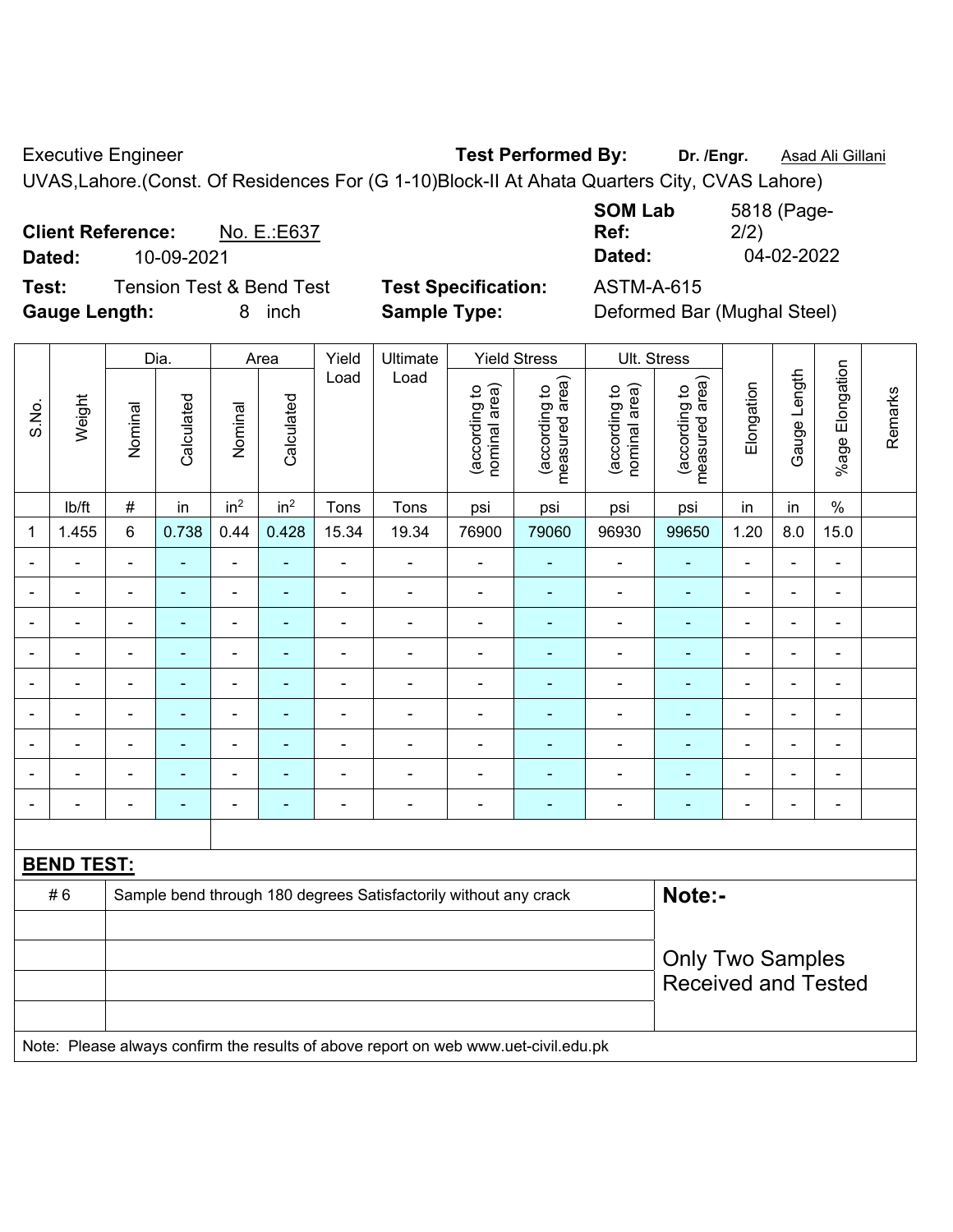Executive Engineer **Test Performed By:** Dr. /Engr. **Asad Ali Gillani** Collection Association Collection Association

UVAS,Lahore.(Const. Of Residences For (G 1-10)Block-II At Ahata Quarters City, CVAS Lahore)

**Client Reference:** No. E.:E637 **Dated:** 10-09-2021 **Dated:** 04-02-2022 **Test:** Tension Test & Bend Test **Test Specification:** ASTM-A-615

**Gauge Length:** 8 inch **Sample Type:** Deformed Bar (Mughal Steel)

| 5818 (Page- |
|-------------|
| 2/2)        |
| 04-02-2022  |
|             |

|                                                                                     | Weight         | Dia.                                                                       |                | Area                     |                 | Yield          | Ultimate       | <b>Yield Stress</b>            |                                 | Ult. Stress                                           |                                 |                |                |                              |         |
|-------------------------------------------------------------------------------------|----------------|----------------------------------------------------------------------------|----------------|--------------------------|-----------------|----------------|----------------|--------------------------------|---------------------------------|-------------------------------------------------------|---------------------------------|----------------|----------------|------------------------------|---------|
| S.No.                                                                               |                | Nominal                                                                    | Calculated     | Nominal                  | Calculated      | Load           | Load           | nominal area)<br>(according to | (according to<br>measured area) | nominal area)<br>(according to                        | measured area)<br>(according to | Elongation     | Gauge Length   | %age Elongation              | Remarks |
|                                                                                     | lb/ft          | $\#$                                                                       | in             | in <sup>2</sup>          | in <sup>2</sup> | Tons           | Tons           | psi                            | psi                             | psi                                                   | psi                             | in             | in             | $\%$                         |         |
| 1                                                                                   | 1.455          | 6                                                                          | 0.738          | 0.44                     | 0.428           | 15.34          | 19.34          | 76900                          | 79060                           | 96930                                                 | 99650                           | 1.20           | 8.0            | 15.0                         |         |
|                                                                                     | $\blacksquare$ | $\blacksquare$                                                             | $\blacksquare$ | $\blacksquare$           | $\blacksquare$  | $\blacksquare$ | $\blacksquare$ | $\blacksquare$                 | $\blacksquare$                  | $\blacksquare$                                        | $\blacksquare$                  | $\blacksquare$ | ÷,             | $\blacksquare$               |         |
| $\blacksquare$                                                                      | $\blacksquare$ | $\blacksquare$                                                             | $\blacksquare$ | $\blacksquare$           | ٠               | $\blacksquare$ | $\blacksquare$ | $\blacksquare$                 | $\blacksquare$                  | $\blacksquare$                                        | $\blacksquare$                  | $\blacksquare$ | $\blacksquare$ | $\blacksquare$               |         |
| $\blacksquare$                                                                      | $\blacksquare$ | $\blacksquare$                                                             | $\blacksquare$ | ÷,                       | ÷               | $\blacksquare$ | $\blacksquare$ | ä,                             | $\blacksquare$                  | $\blacksquare$                                        | $\blacksquare$                  | $\blacksquare$ | ÷,             | $\blacksquare$               |         |
|                                                                                     | $\blacksquare$ | $\blacksquare$                                                             | $\blacksquare$ | ÷,                       |                 | $\blacksquare$ | $\blacksquare$ | $\blacksquare$                 | $\blacksquare$                  | $\blacksquare$                                        | $\blacksquare$                  | $\blacksquare$ | $\blacksquare$ | $\overline{\phantom{a}}$     |         |
|                                                                                     |                | $\blacksquare$                                                             | $\blacksquare$ | $\blacksquare$           |                 |                |                | $\overline{\phantom{0}}$       | $\blacksquare$                  | $\overline{\phantom{0}}$                              |                                 |                | ۰              | $\blacksquare$               |         |
|                                                                                     |                | $\blacksquare$                                                             |                | ä,                       |                 |                |                | $\blacksquare$                 |                                 | ÷                                                     | $\blacksquare$                  |                | $\blacksquare$ | $\blacksquare$               |         |
| $\blacksquare$                                                                      | $\blacksquare$ | $\blacksquare$                                                             | $\blacksquare$ | $\overline{\phantom{a}}$ | ٠               | $\blacksquare$ | $\blacksquare$ | $\overline{\phantom{0}}$       | $\blacksquare$                  | $\overline{\phantom{0}}$                              | $\blacksquare$                  | $\blacksquare$ | ÷              | $\blacksquare$               |         |
|                                                                                     |                | $\blacksquare$                                                             | $\blacksquare$ | ÷                        | $\blacksquare$  | $\blacksquare$ | $\blacksquare$ | $\blacksquare$                 | ÷,                              | $\blacksquare$                                        | $\blacksquare$                  | $\blacksquare$ | ÷,             | $\qquad \qquad \blacksquare$ |         |
|                                                                                     |                | $\blacksquare$                                                             | ÷              | $\overline{\phantom{a}}$ | ٠               | $\blacksquare$ | $\blacksquare$ | $\blacksquare$                 | $\blacksquare$                  | ÷                                                     | $\blacksquare$                  | $\blacksquare$ | ÷              | $\overline{\phantom{a}}$     |         |
|                                                                                     |                |                                                                            |                |                          |                 |                |                |                                |                                 |                                                       |                                 |                |                |                              |         |
| <b>BEND TEST:</b>                                                                   |                |                                                                            |                |                          |                 |                |                |                                |                                 |                                                       |                                 |                |                |                              |         |
|                                                                                     | #6             | Note:-<br>Sample bend through 180 degrees Satisfactorily without any crack |                |                          |                 |                |                |                                |                                 |                                                       |                                 |                |                |                              |         |
|                                                                                     |                |                                                                            |                |                          |                 |                |                |                                |                                 |                                                       |                                 |                |                |                              |         |
|                                                                                     |                |                                                                            |                |                          |                 |                |                |                                |                                 | <b>Only Two Samples</b><br><b>Received and Tested</b> |                                 |                |                |                              |         |
| Note: Please always confirm the results of above report on web www.uet-civil.edu.pk |                |                                                                            |                |                          |                 |                |                |                                |                                 |                                                       |                                 |                |                |                              |         |